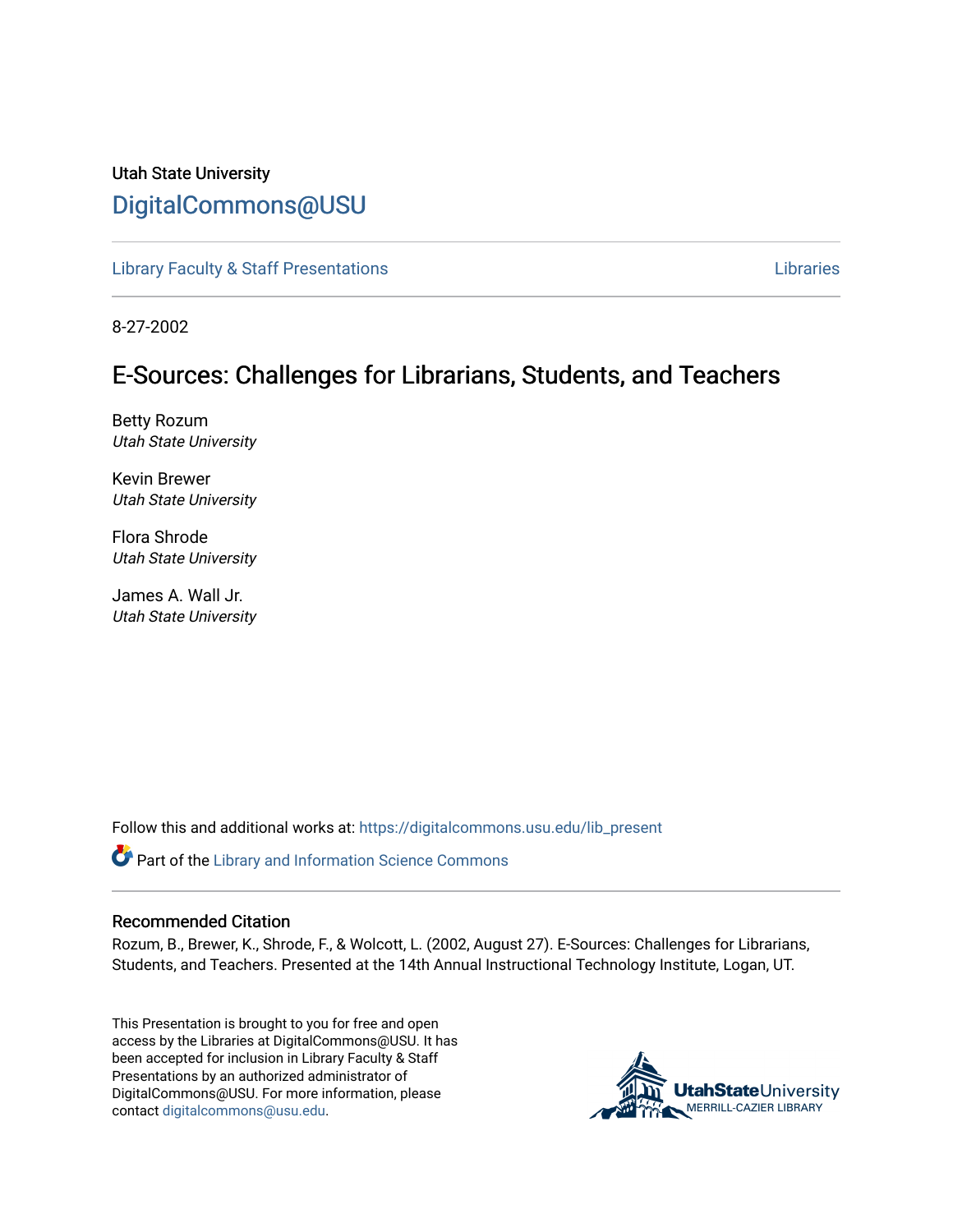#### Utah State University [DigitalCommons@USU](https://digitalcommons.usu.edu/)

[Library Faculty & Staff Presentations](https://digitalcommons.usu.edu/lib_present) [Libraries](https://digitalcommons.usu.edu/library) 

8-27-2002

#### E-Sources: Challenges for Librarians, Students, and Teachers

Betty Rozum Utah State University

Kevin Brewer Utah State University

Flora Shrode Utah State University

James A. Wall Jr. Utah State University

Follow this and additional works at: [https://digitalcommons.usu.edu/lib\\_present](https://digitalcommons.usu.edu/lib_present?utm_source=digitalcommons.usu.edu%2Flib_present%2F49&utm_medium=PDF&utm_campaign=PDFCoverPages) 

**Part of the Library and Information Science Commons** 

#### Recommended Citation

Rozum, B., Brewer, K., Shrode, F., & Wolcott, L. (2002, August 27). E-Sources: Challenges for Librarians, Students, and Teachers. Presented at the 14th Annual Instructional Technology Institute, Logan, UT.

This Presentation is brought to you for free and open access by the Libraries at DigitalCommons@USU. It has been accepted for inclusion in Library Faculty & Staff Presentations by an authorized administrator of DigitalCommons@USU. For more information, please contact [digitalcommons@usu.edu](mailto:digitalcommons@usu.edu).

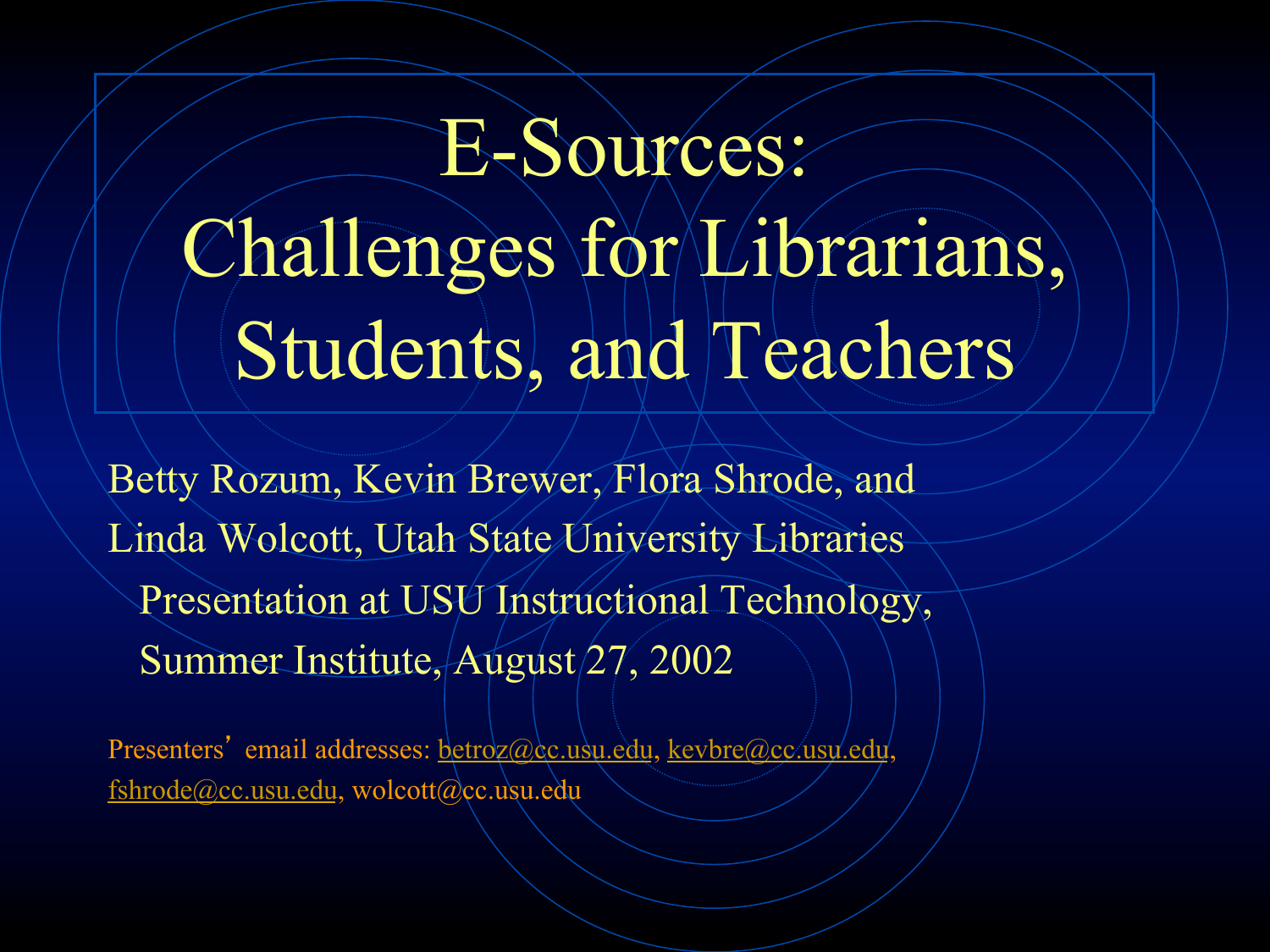## E-Sources: Challenges for Librarians, Students, and Teachers

Betty Rozum, Kevin Brewer, Flora Shrode, and Linda Wolcott, Utah State/University Libraries Presentation at USU Instructional Technology, Summer Institute, August 27, 2002

Presenters' email addresses: betroz@cc.usu.edu, kevbre@cc.usu.edu  $fshrode@cc.usu.edu, wolcott@cc.usu.edu$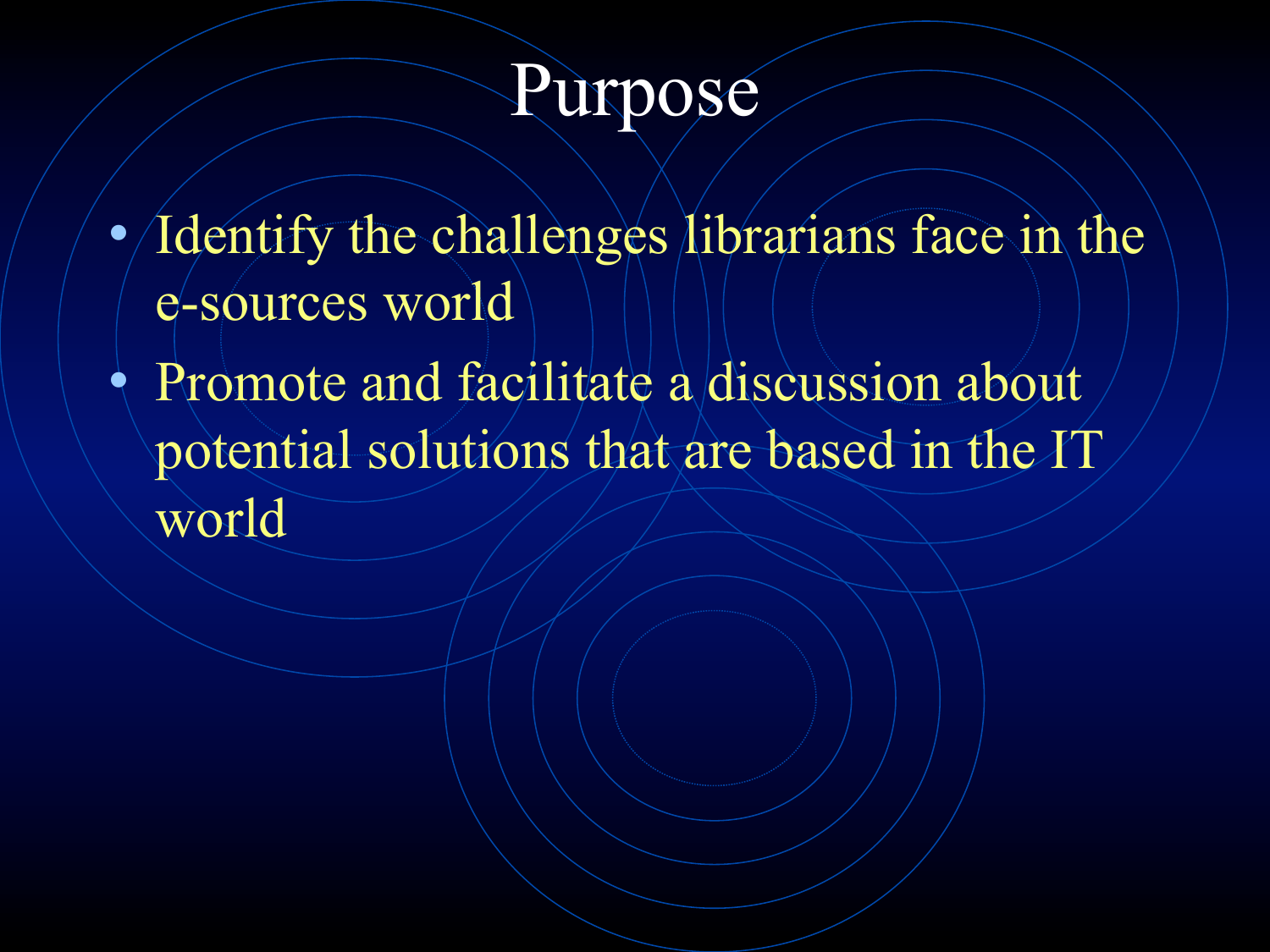#### Purpose

Identify the challenges librarians face in the e-sources world

• Promote and facilitate a discussion about potential solutions that are based in the IT world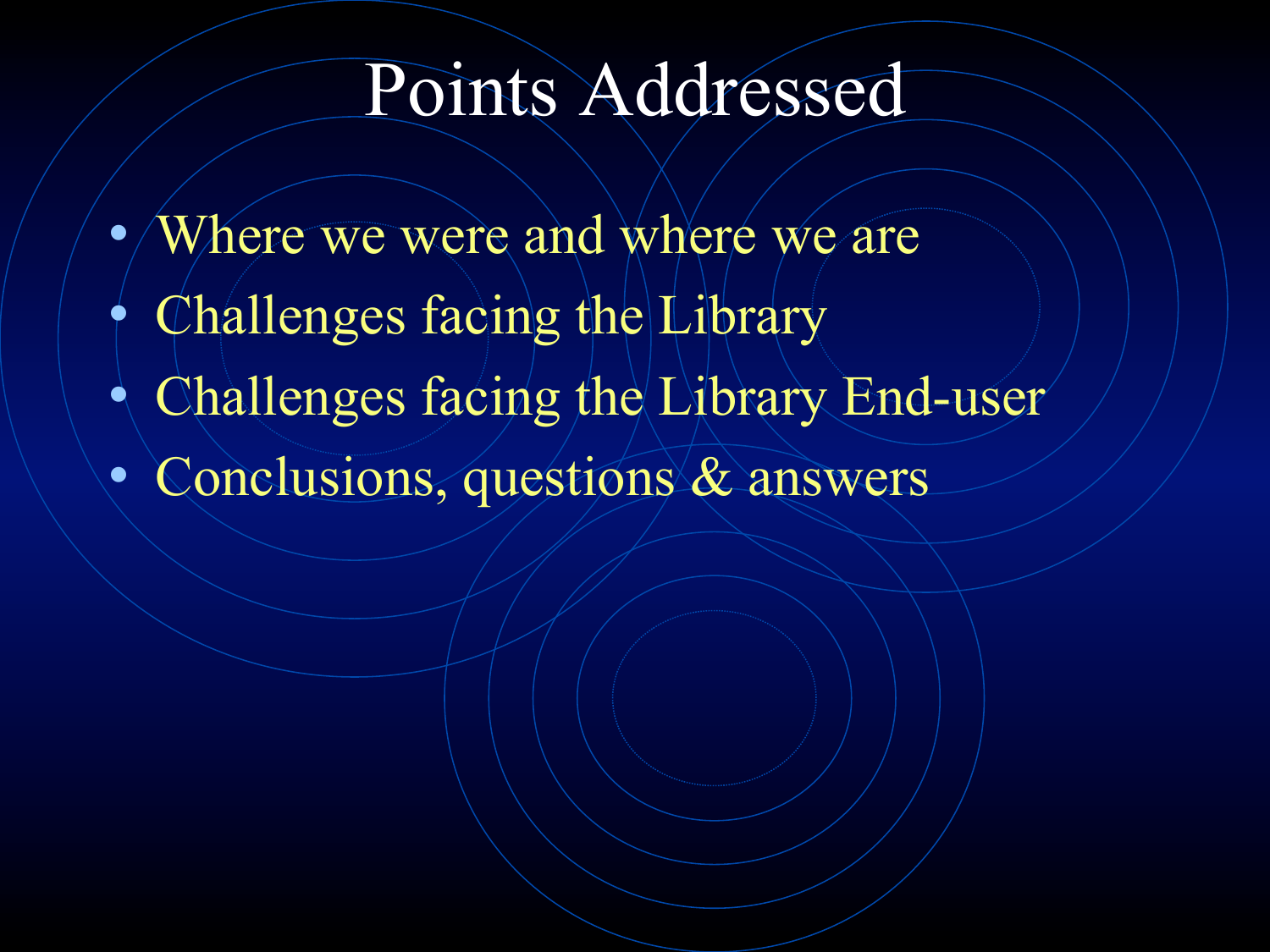#### Points Addressed

- Where we were and where we are
- Challenges facing the Library
- $\bullet$  Challenges facing the Library End-user
- Conclusions, questions & answers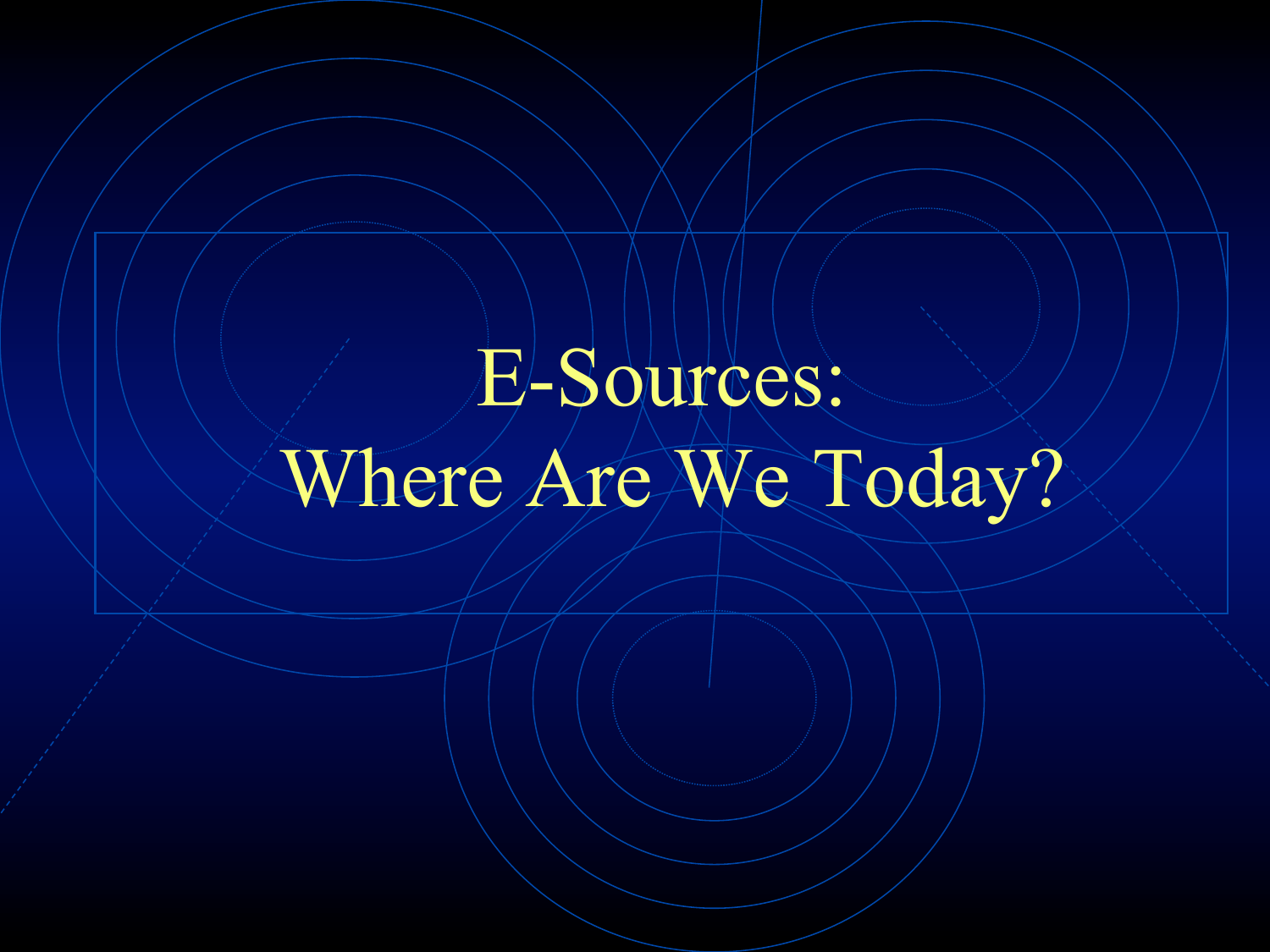# E-Sources: Where Are We Today?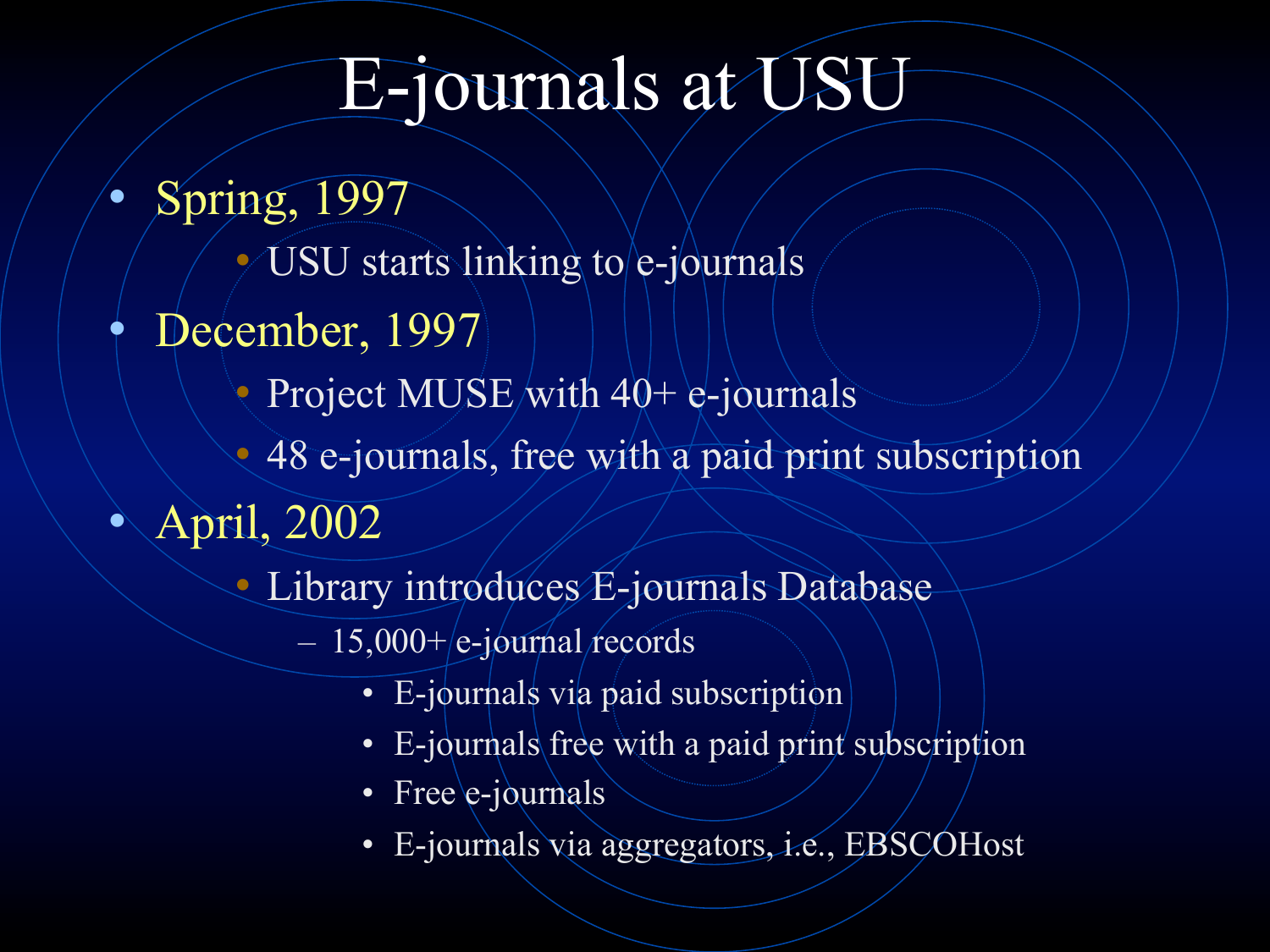#### E-journals at USU

- Spring, 1997
	- $\sim$  USU starts linking to e-journals
- December, 1997
	- Project MUSE/with  $40+$  e-journals
	- 48 e-journals, free with a paid print subscription
- April, 2002
	- Library introduces E-journals Database
		- $-15,000+|e-jou$  records
			- E-journals via paid subscription
			- E-journals free with a paid print subscription
			- Free e-journals
			- E-journals via aggregators, i.e., EBSCOHost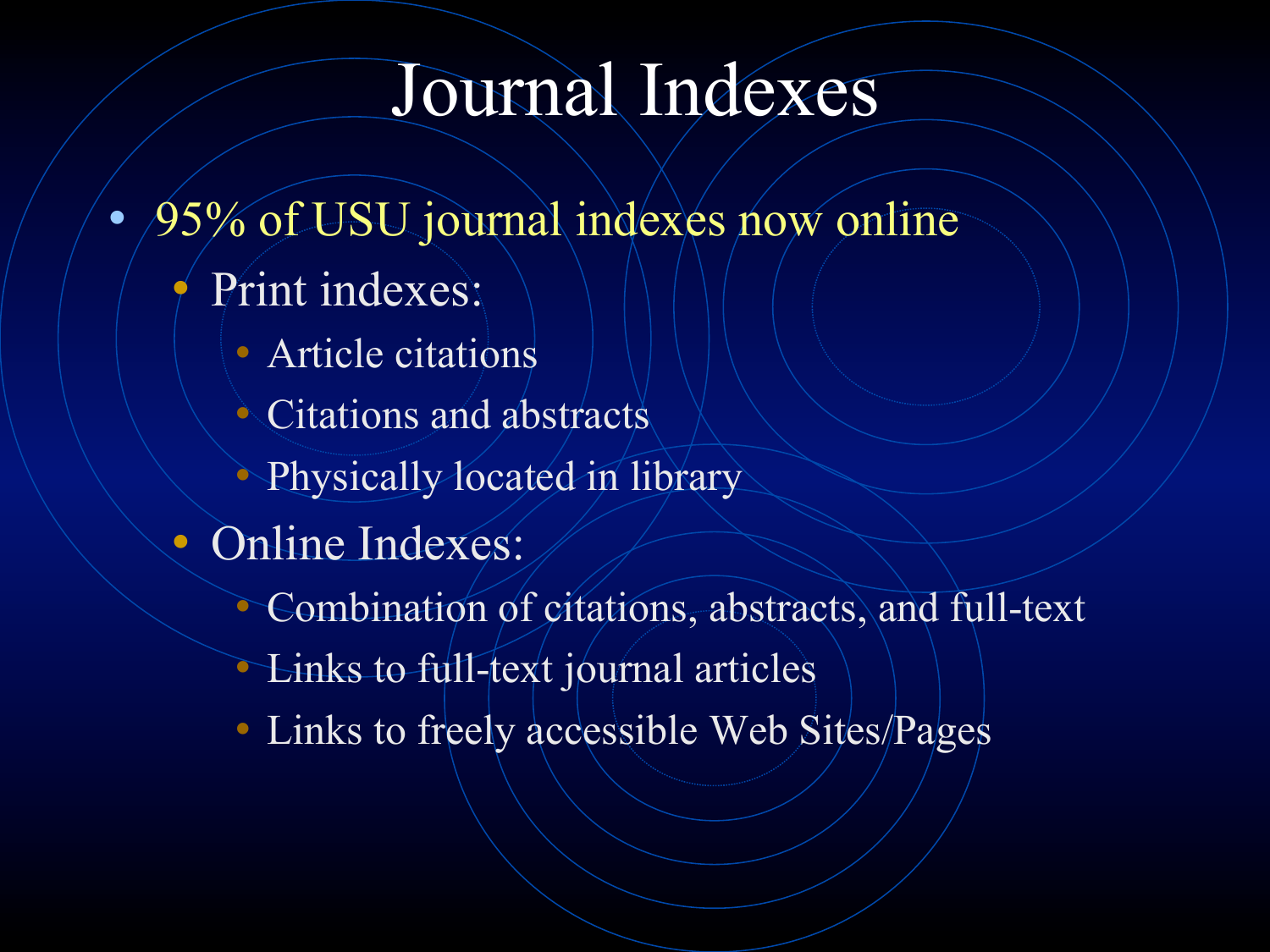#### Journal Indexes

- 95% of USU journal indexes now online
	- Print indexes:
		- Article citations
		- Citations and abstracts
		- Physically located in library
	- Online Indexes:
		- Combination of citations, abstracts, and full-text
		- Links to full-text journal articles
		- Links to freely accessible Web Sites/Pages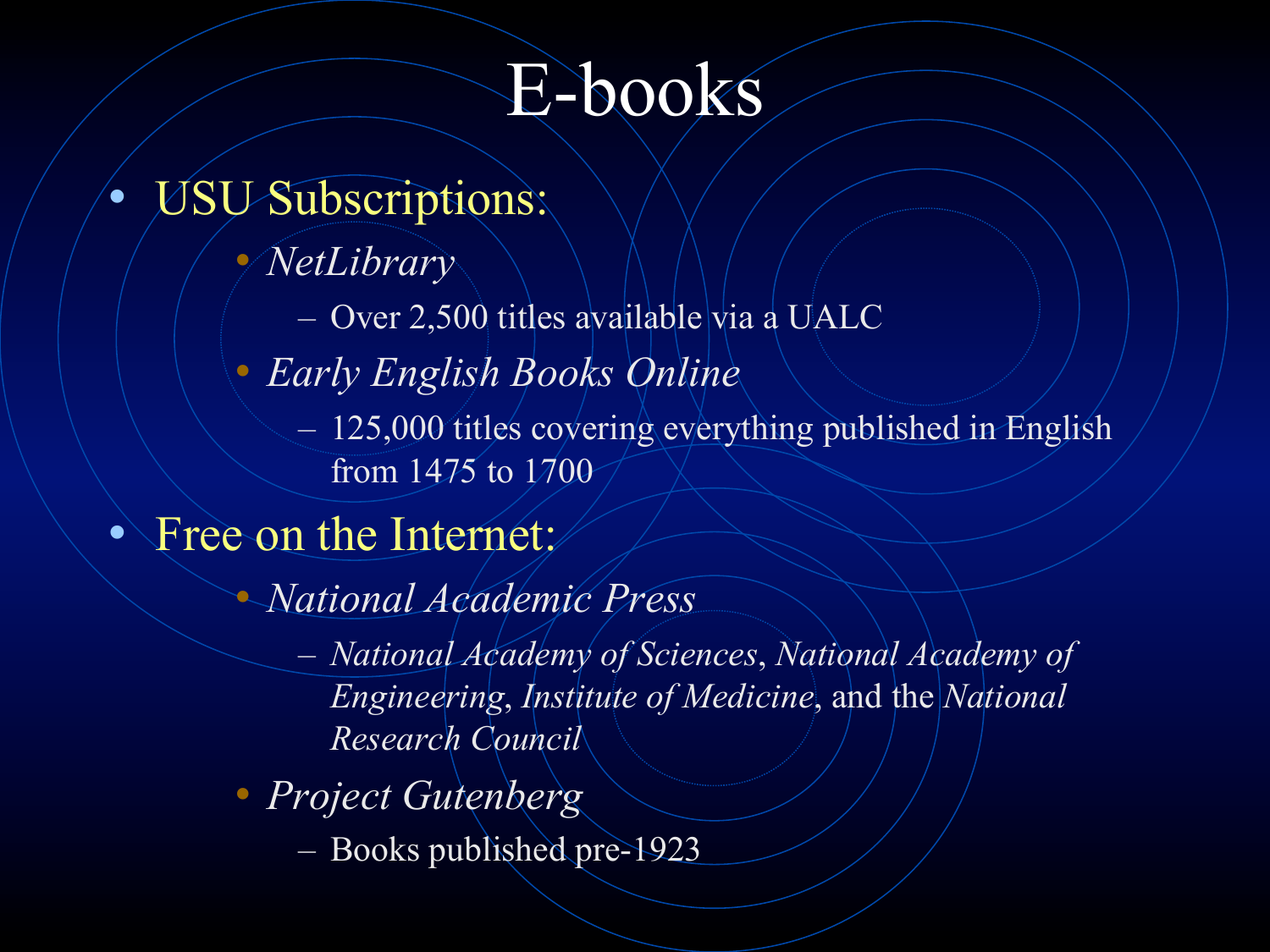#### E-books

- USU Subscriptions:
	- *NetLibrary*
		- Over 2,500 titles available via a UALC
	- *Early English Books Online* 
		- 125,000 titles covering everything published in English from 1475 to 1700
- Free on the Internet:
	- *National Academic Press* 
		- *National Academy of Sciences*, *National Academy of Engineering*, *Institute of Medicine*, and the *National Research Council*
	- *Project Gutenberg* 
		- Books published pre-1923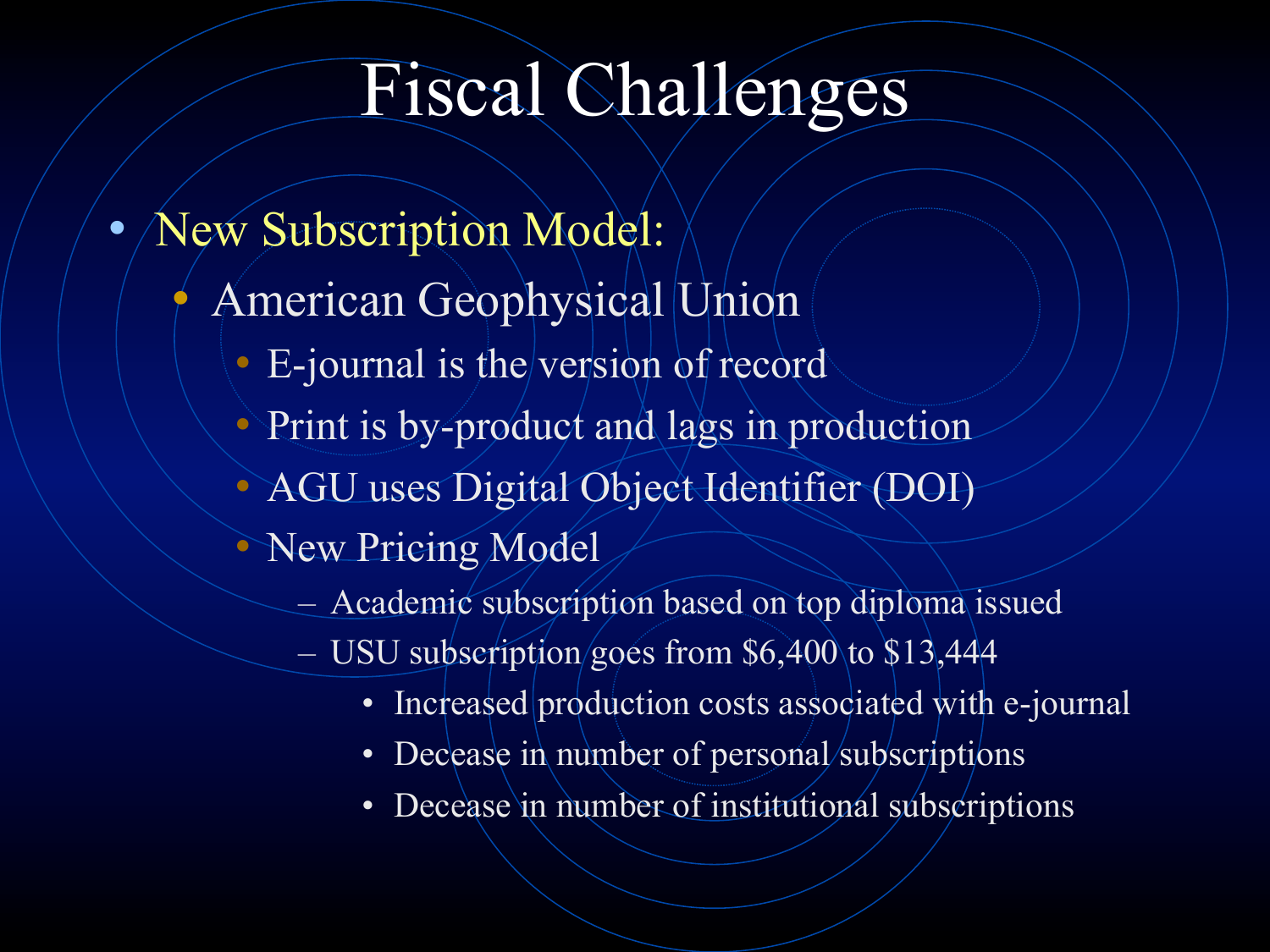#### Fiscal Challenges

- New Subscription Model:
	- American Geophysical Union
		- E-journal is the version of record
		- Print is by-product and lags in production
		- AGU uses Digital Object Identifier (DOI)
		- New Pricing Model
			- Academic subscription based on top diploma issued
			- USU subscription goes from \$6,400 to \$13,444
				- Increased production costs associated with e-journal
				- Decease in number of personal/subscriptions
				- Decease in number of institutional subscriptions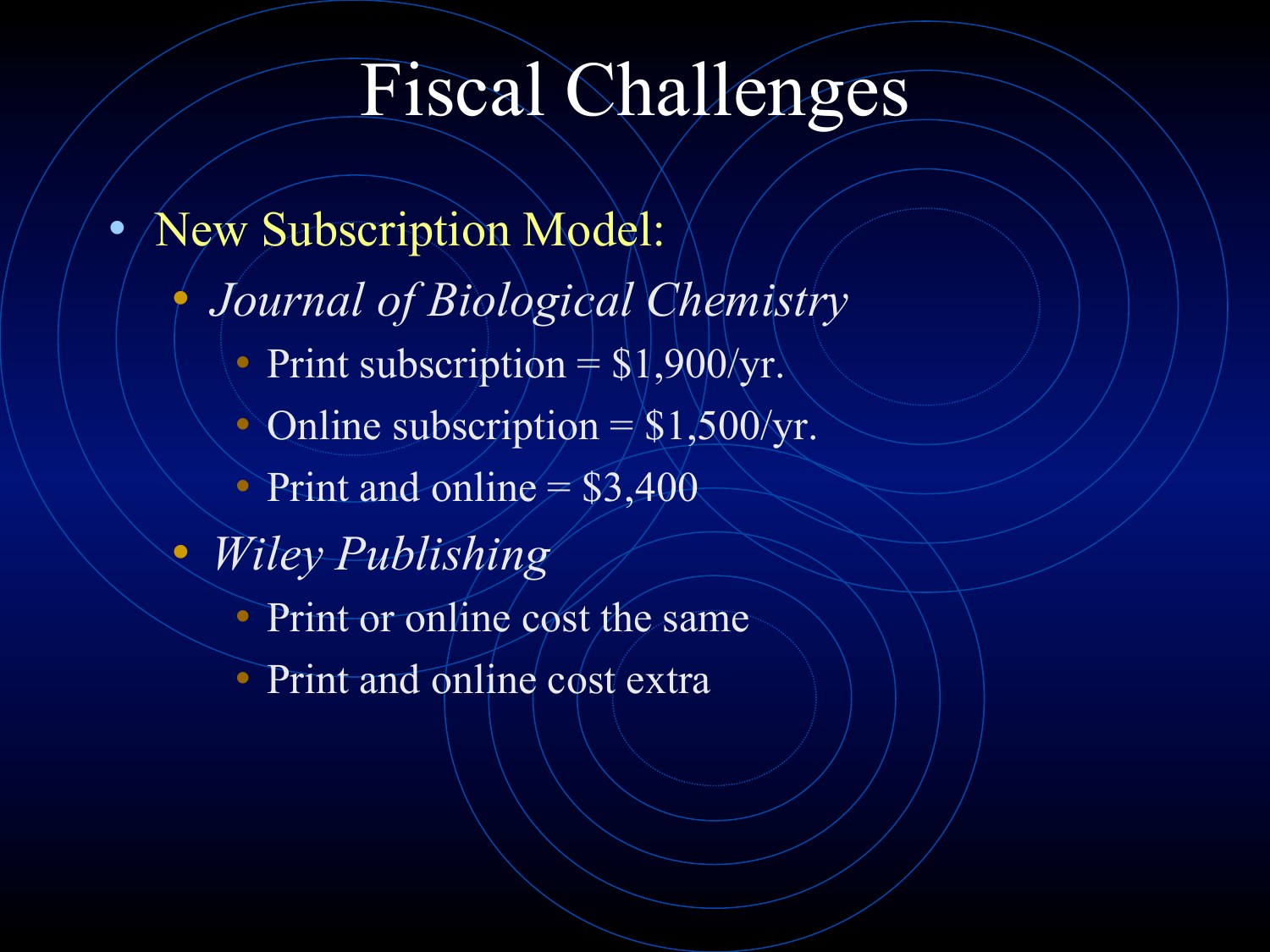#### Fiscal Challenges

- New Subscription Model:
	- *Journal of Biological Chemistry* 
		- Print subscription  $=$  \$1,900/yr.
		- Online subscription  $=\frac{1}{500}$ /yr.
		- Print and online  $= $3,400$
	- *Wiley Publishing* 
		- Print or online cost the same
		- Print and online cost extra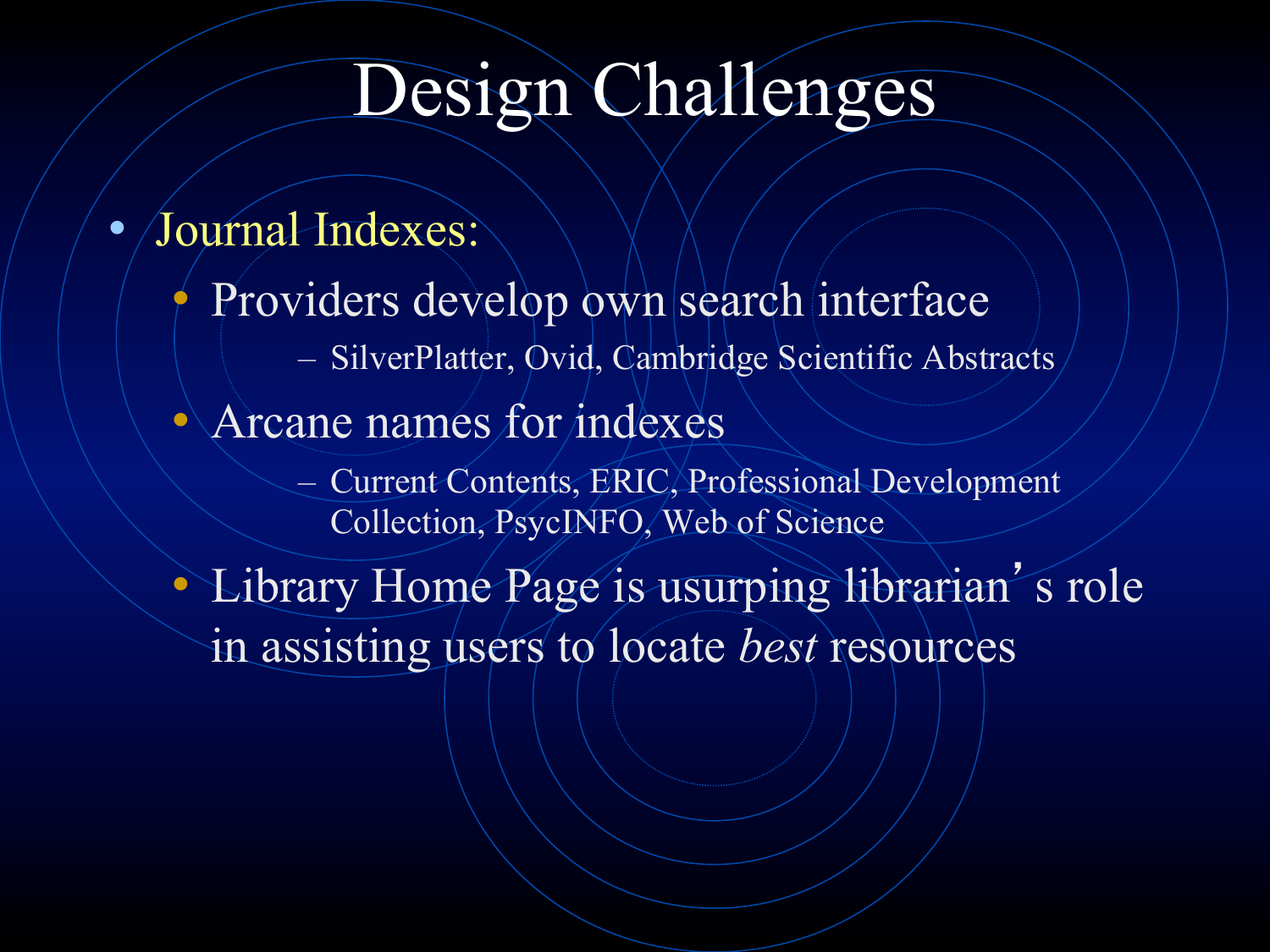#### Design Challenges

- Journal Indexes:
	- Providers develop own search interface
		- SilverPlatter, Ovid, Cambridge Scientific Abstracts
	- Arcane names for indexes
		- Current Contents, ERIC, Professional Development Collection, PsycINFO, Web of Science

• Library Home Page is usurping librarian's role in assisting users to locate *best* resources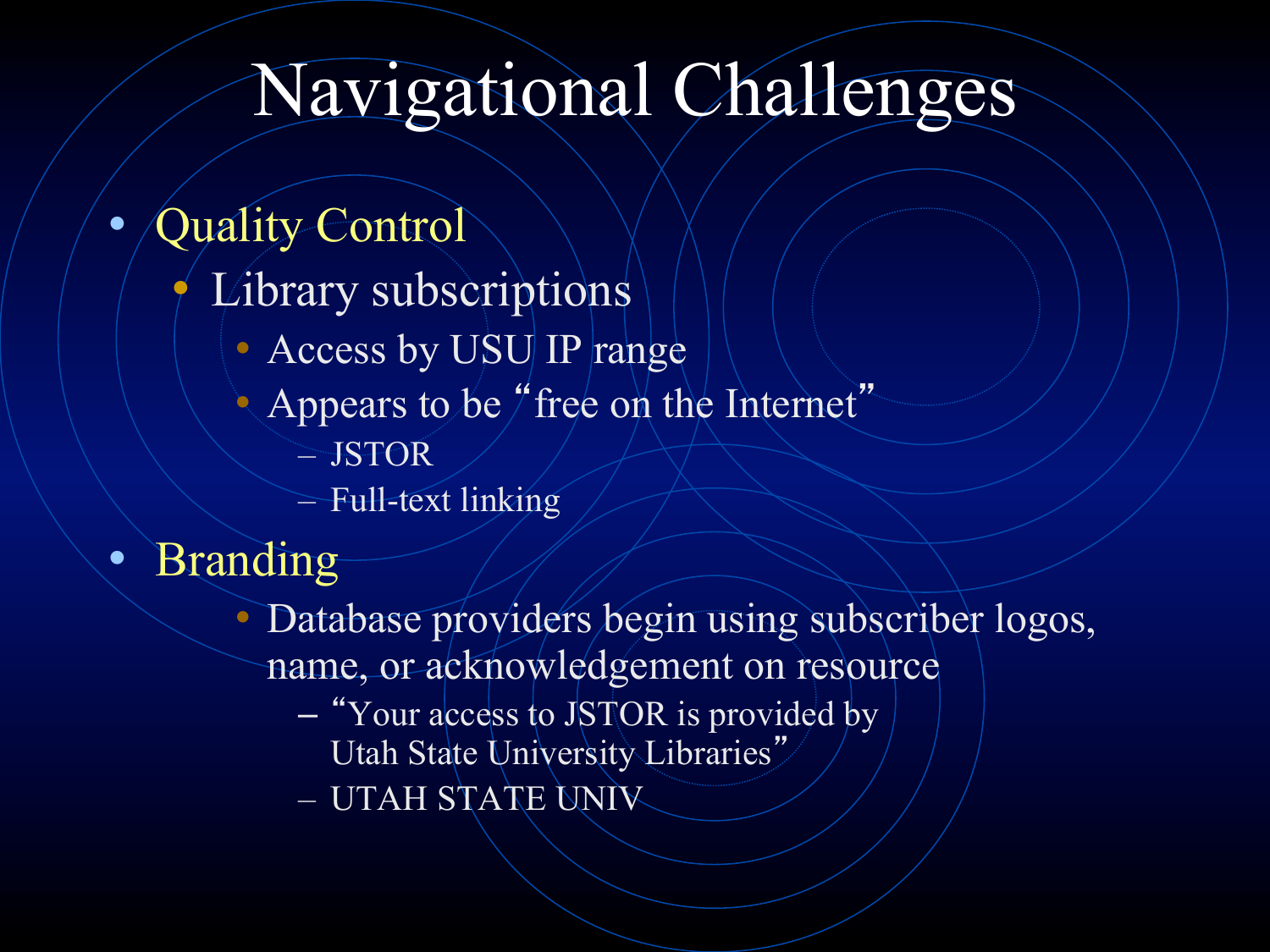#### Navigational Challenges

#### • Quality Control

- Library subscriptions
	- Access by USU IP range
	- Appears to be "free on the Internet"
		- JSTOR
		- Full-text linking
- Branding
	- Database providers begin using subscriber logos, name, or acknowledgement on resource
		- "Your access to JSTOR is provided by Utah State University Libraries"
		- UTAH STATE UNIV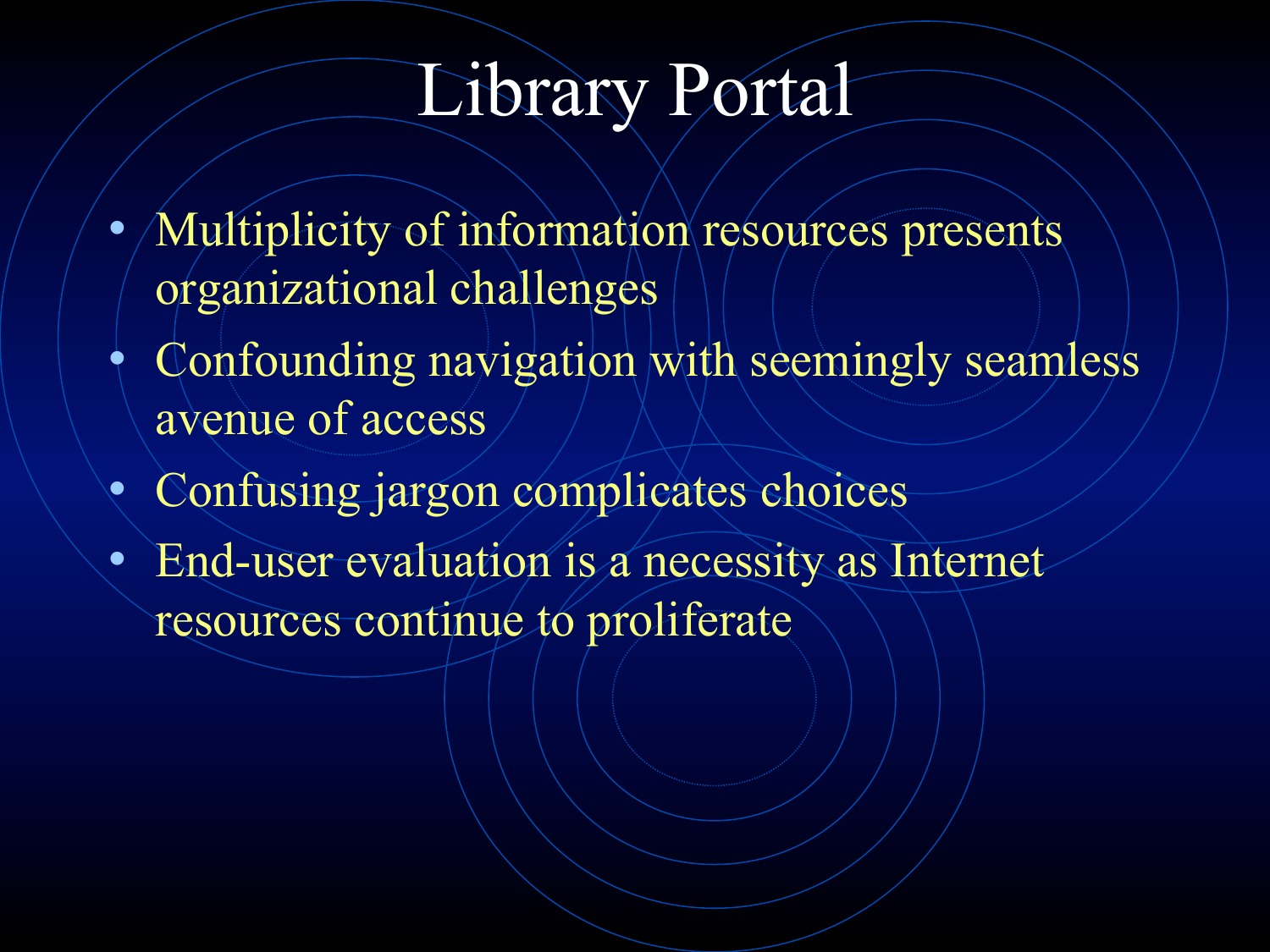#### Library Portal

- Multiplicity of information resources presents organizational challenges
- Confounding navigation with seemingly seamless avenue of access
- Confusing jargon complicates choices
- End-user evaluation is a necessity as Internet resources continue to proliferate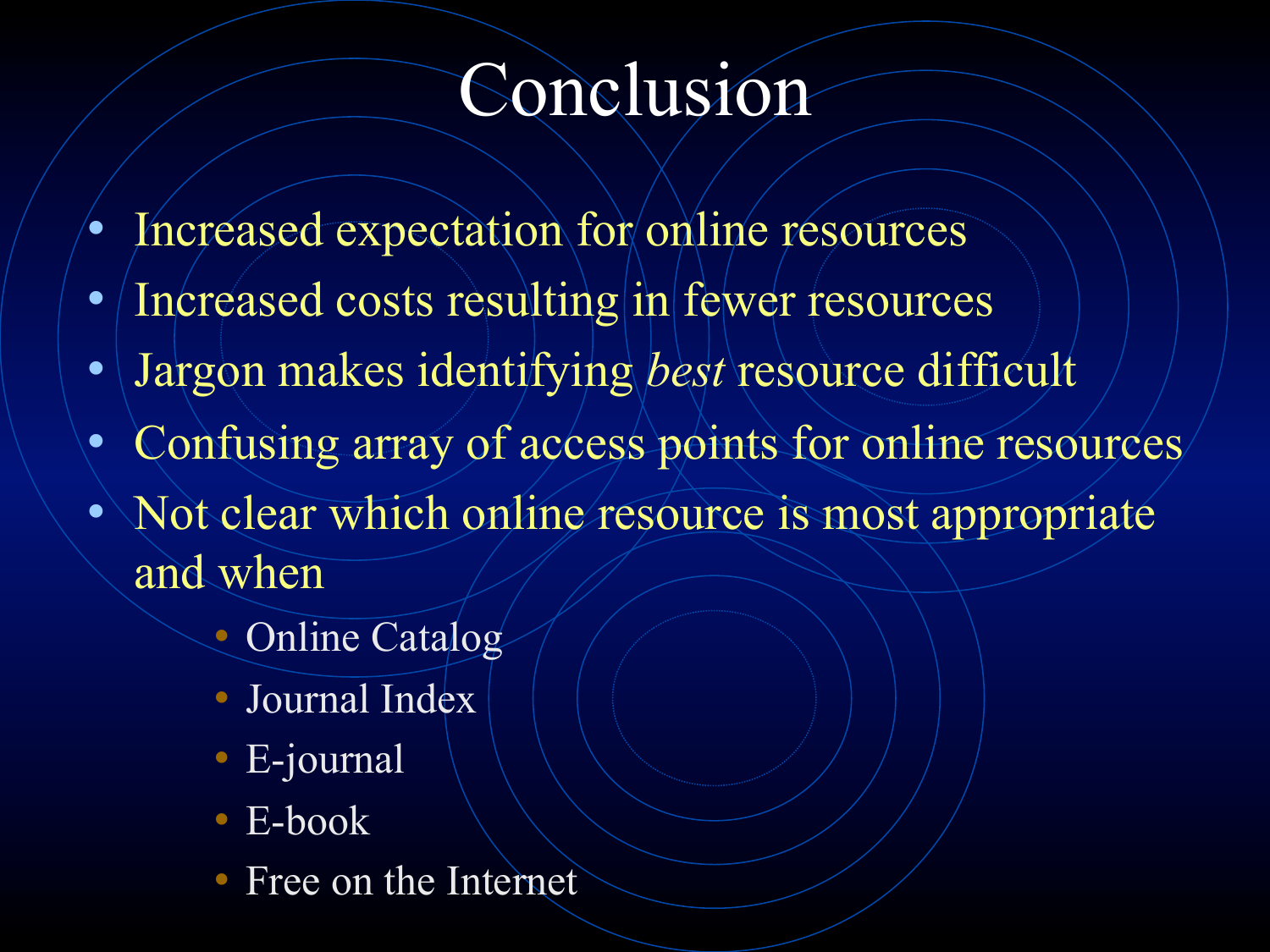#### Conclusion

- Increased expectation for online resources
- Increased costs resulting in fewer resources
- Jargon makes identifying *best* resource difficult
- Confusing array of access points for online resources
- Not clear which online resource is most appropriate and when
	- Online Catalog
	- Journal Index
	- E-journal
	- E-book
	- Free on the Internet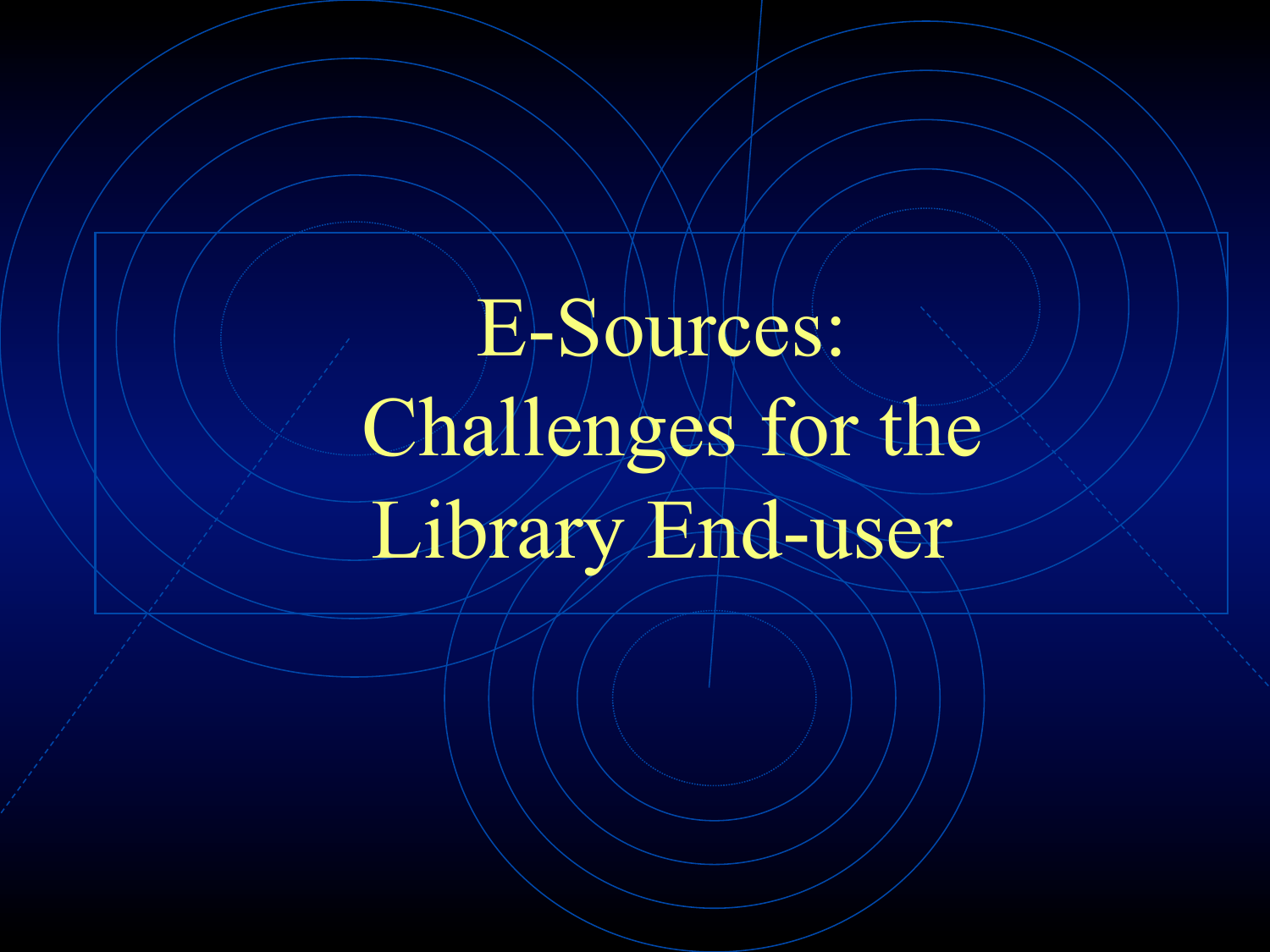# E-Sources: Challenges for the Library End-user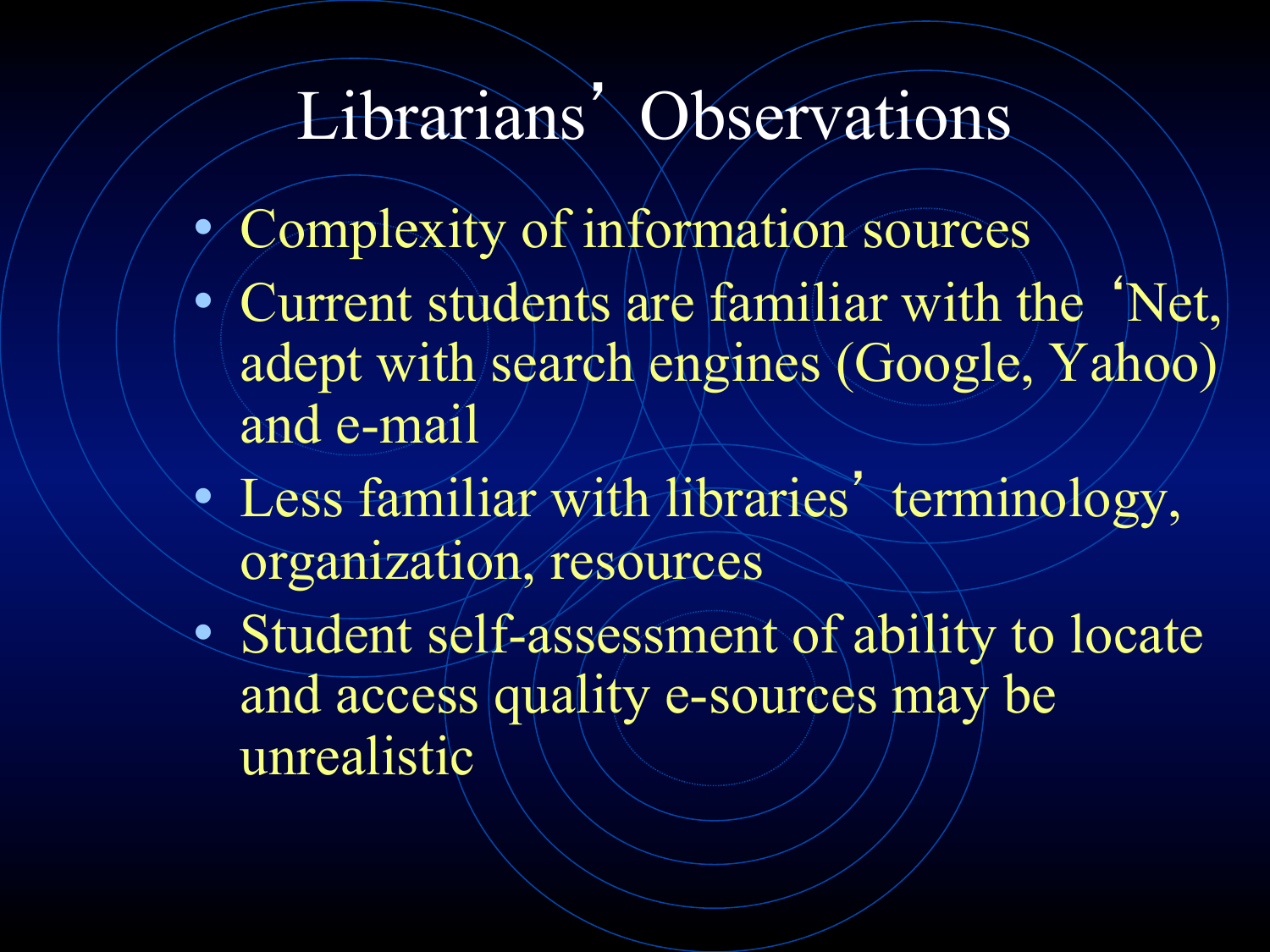#### Librarians' Observations

- Complexity of information sources
- Current students are familiar with the 'Net, adept with search engines (Google, Yahoo) and e-mail
- Less familiar with libraries' terminology, organization, resources
- Student self-assessment of ability to locate and access quality e-sources may be unrealistic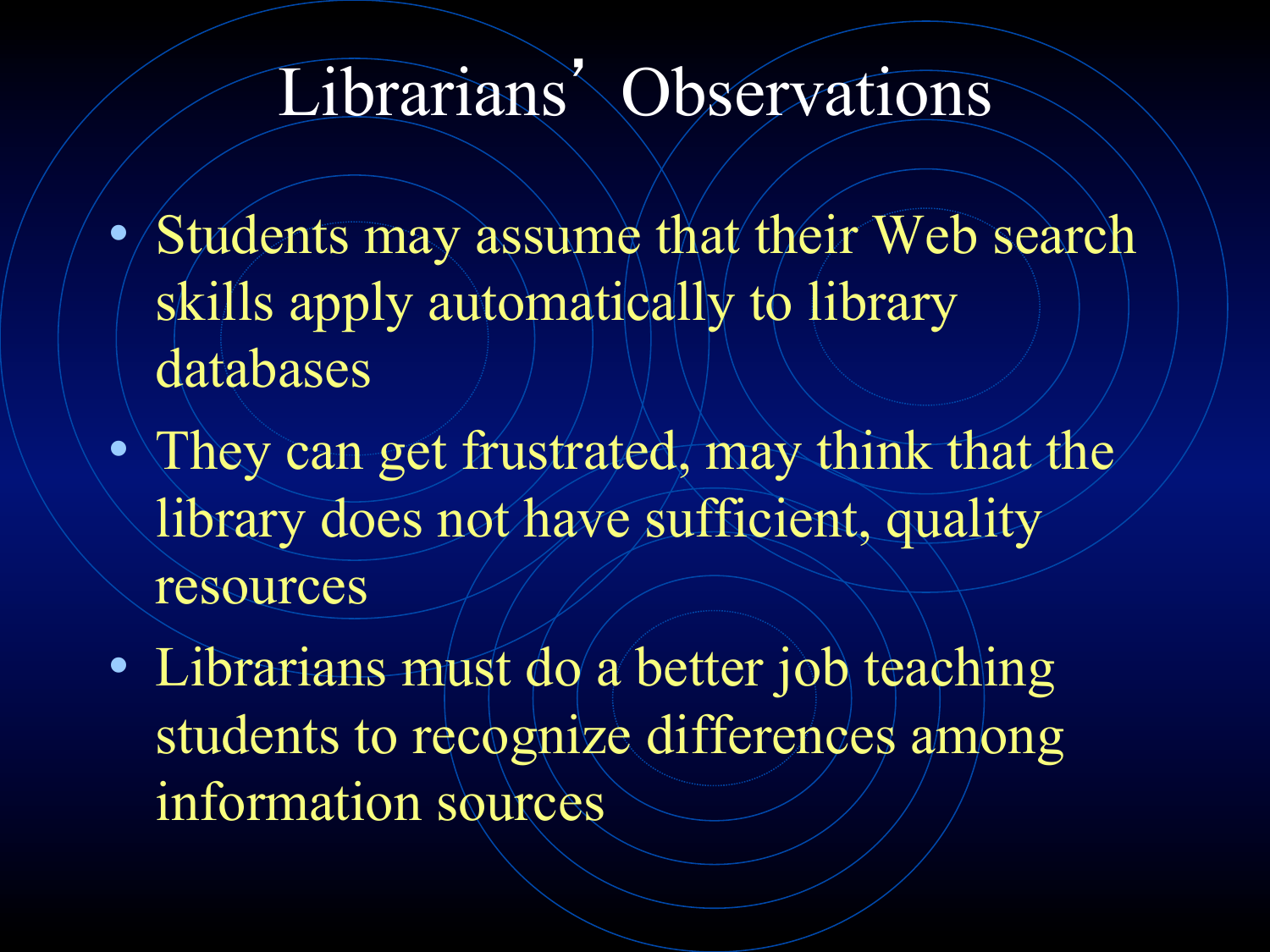#### Librarians' Observations

- Students may assume that their Web search skills apply automatically to library databases
- They can get frustrated, may think that the library does not have sufficient, quality resources
- Librarians must do a better job teaching students to recognize differences among information sources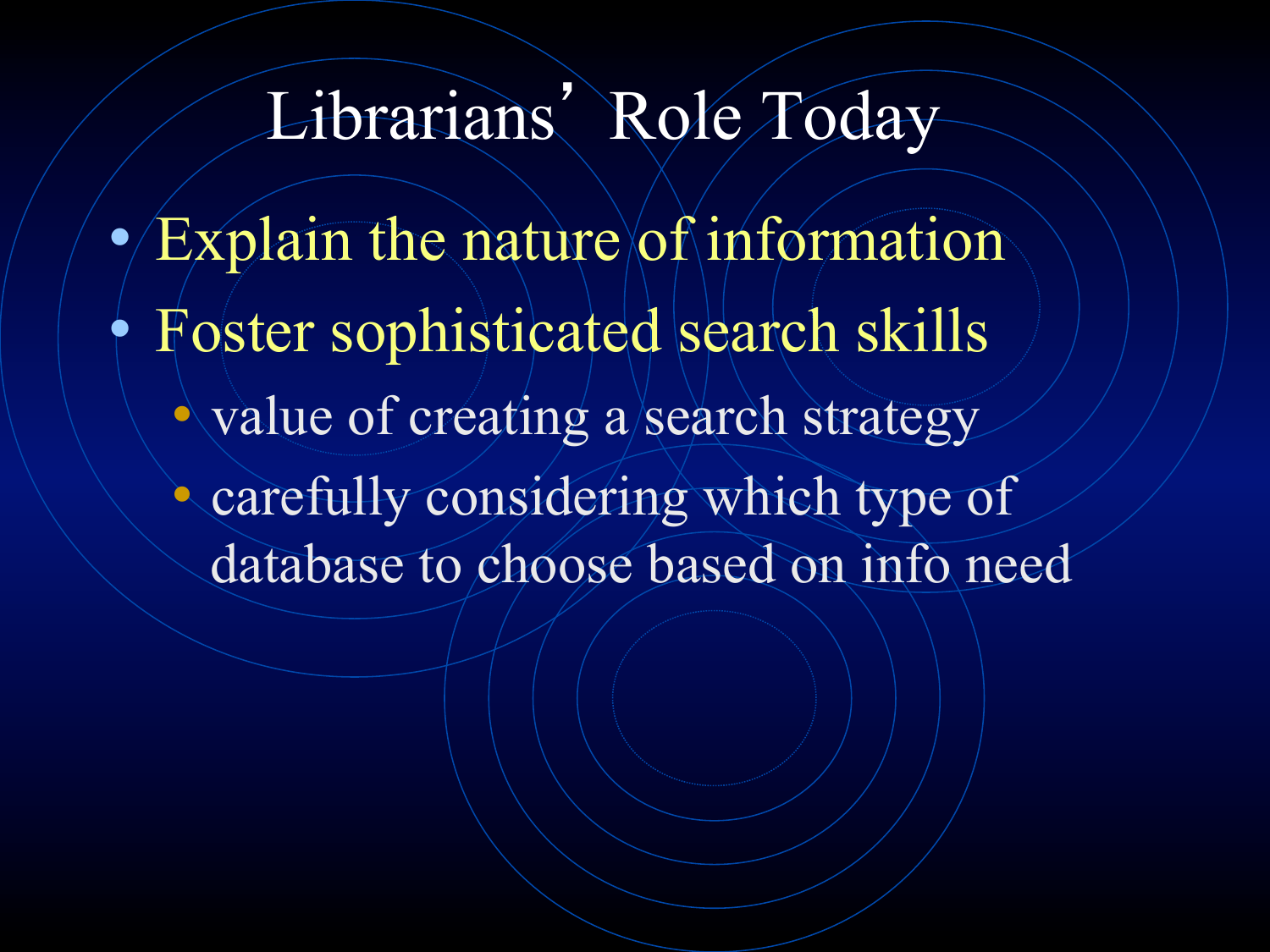#### Librarians' Role Today

- $\bullet$  Explain the nature of information
- Foster sophisticated search skills
	- value of creating a search strategy
	- carefully considering which type of database to choose based on info need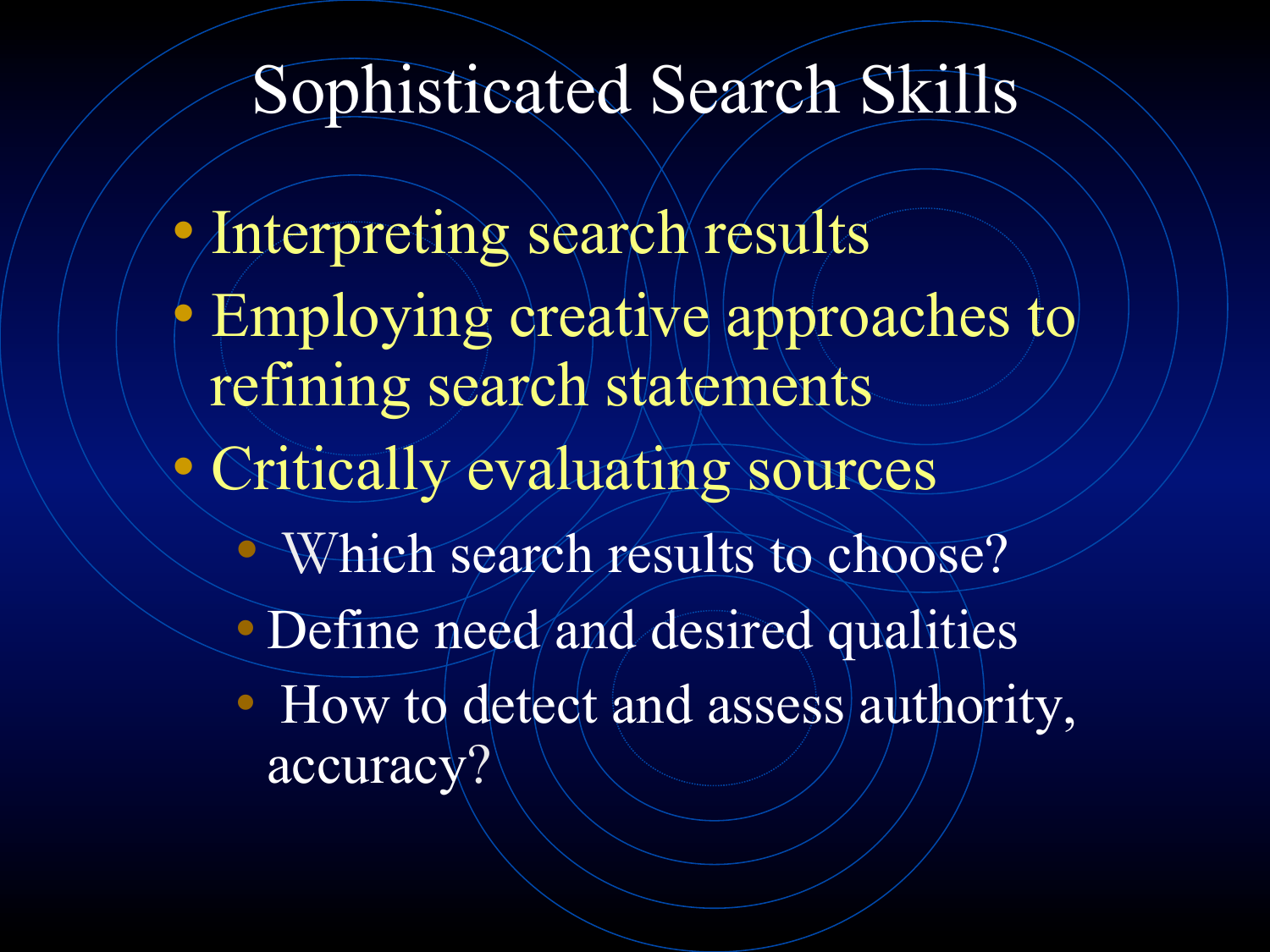#### Sophisticated Search Skills

• Interpreting search results • Employing creative approaches to refining search statements • Critically evaluating sources • Which search results to choose? • Define need and desired qualities • How to detect and assess authority, accuracy?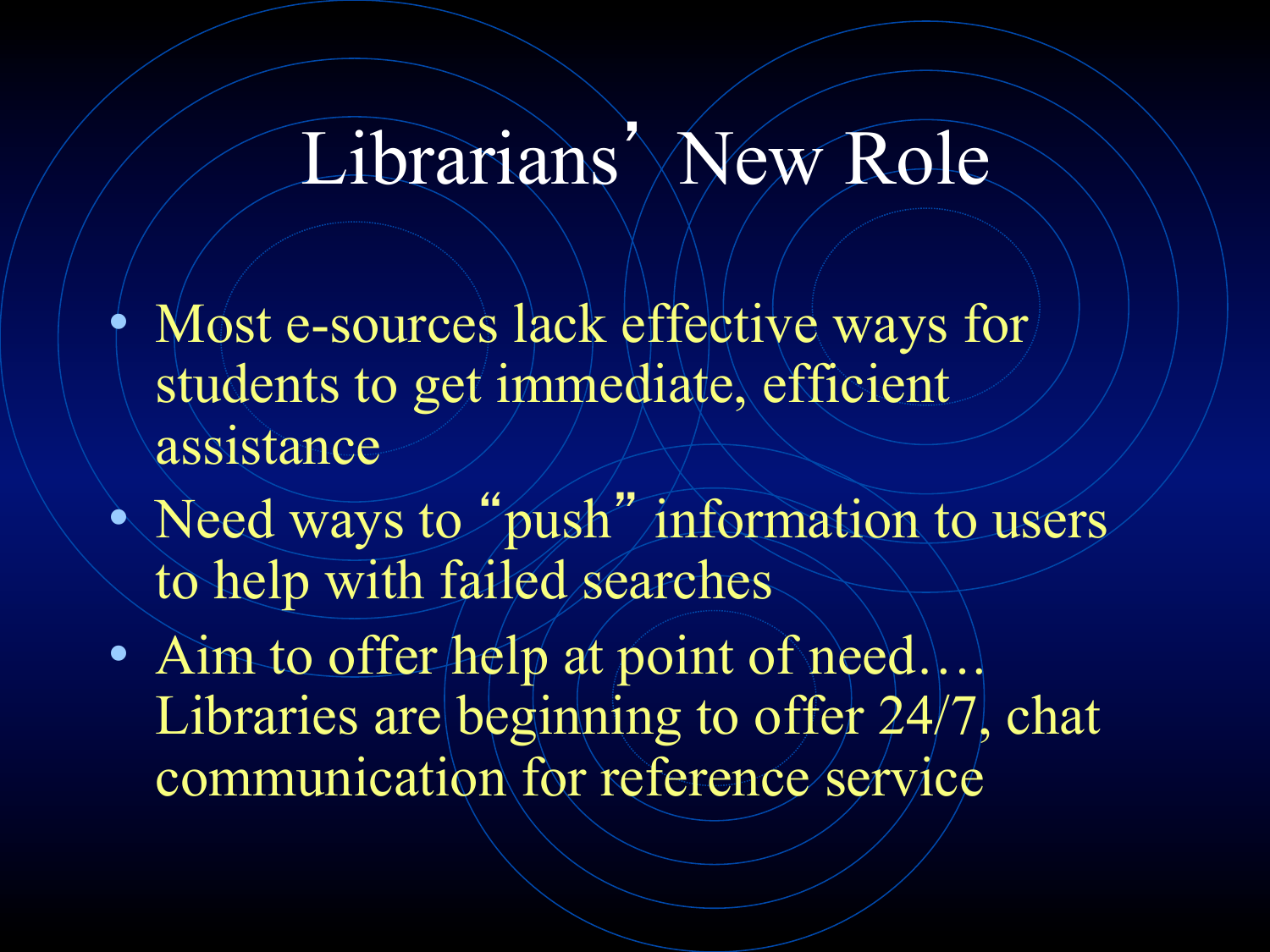#### Librarians' New Role

- Most e-sources lack effective ways for students to get immediate, efficient assistance
- Need ways to "push" information to users to help with failed searches
- · Aim to offer help at point of need... Libraries are beginning to offer 24/7, chat communication for reference service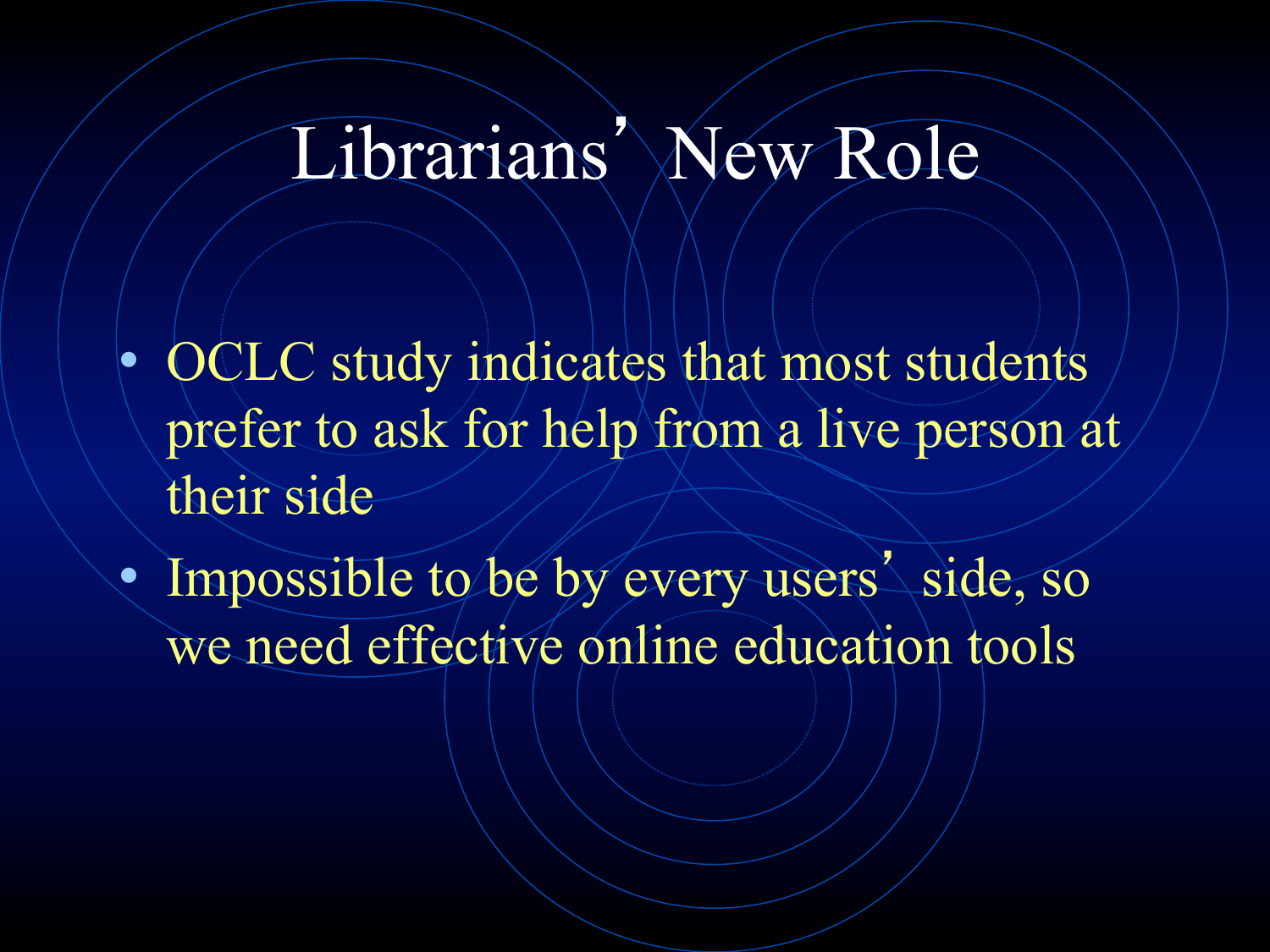#### Librarians' New Role

- OCLC study indicates that most students prefer to ask for help from a live person at their side
- Impossible to be by every users' side, so we need effective online education tools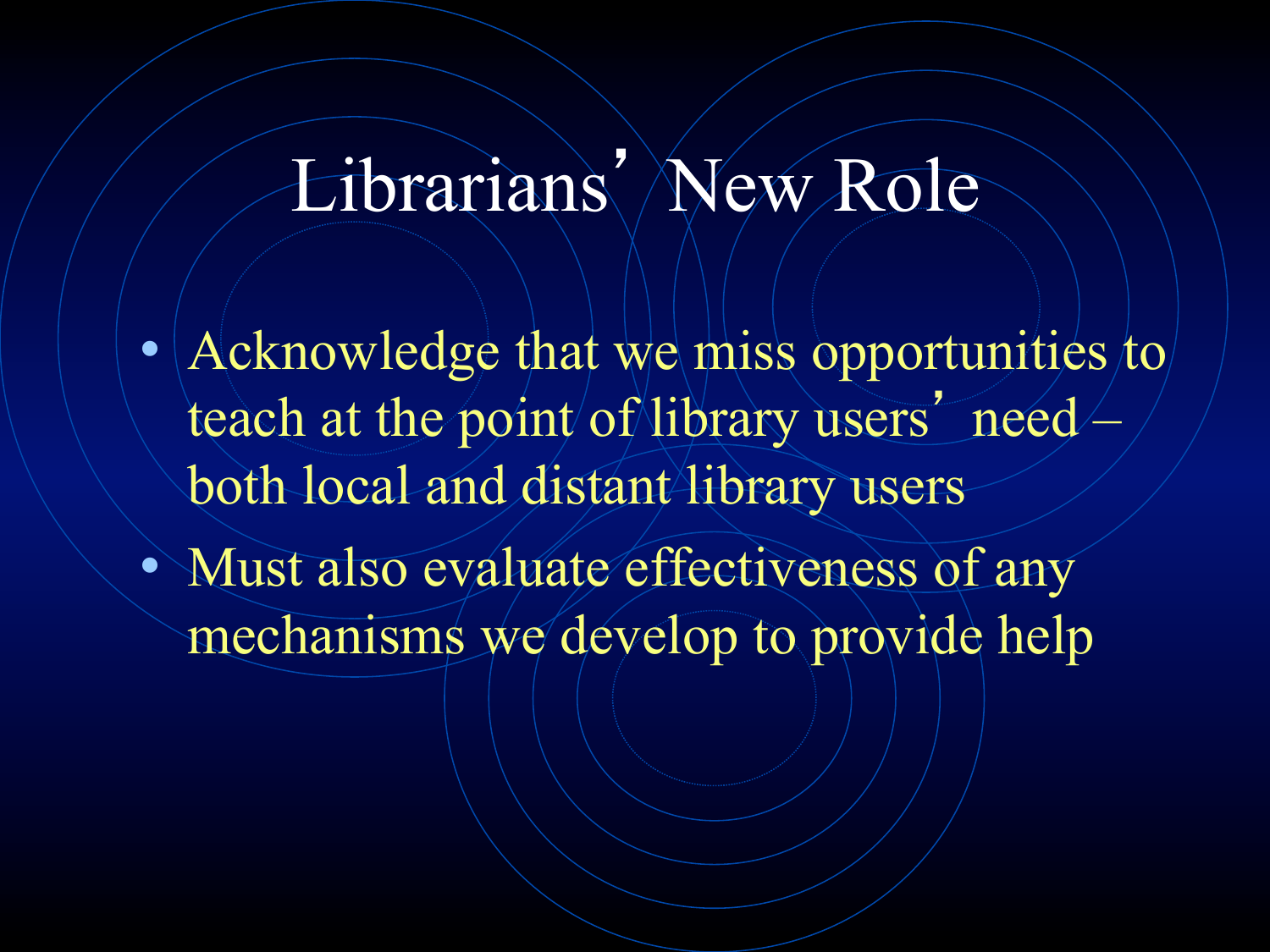## Librarians' New Role

- Acknowledge that we miss opportunities to teach at the point of library users' need both local and distant library users
- Must also evaluate effectiveness of any mechanisms we develop to provide help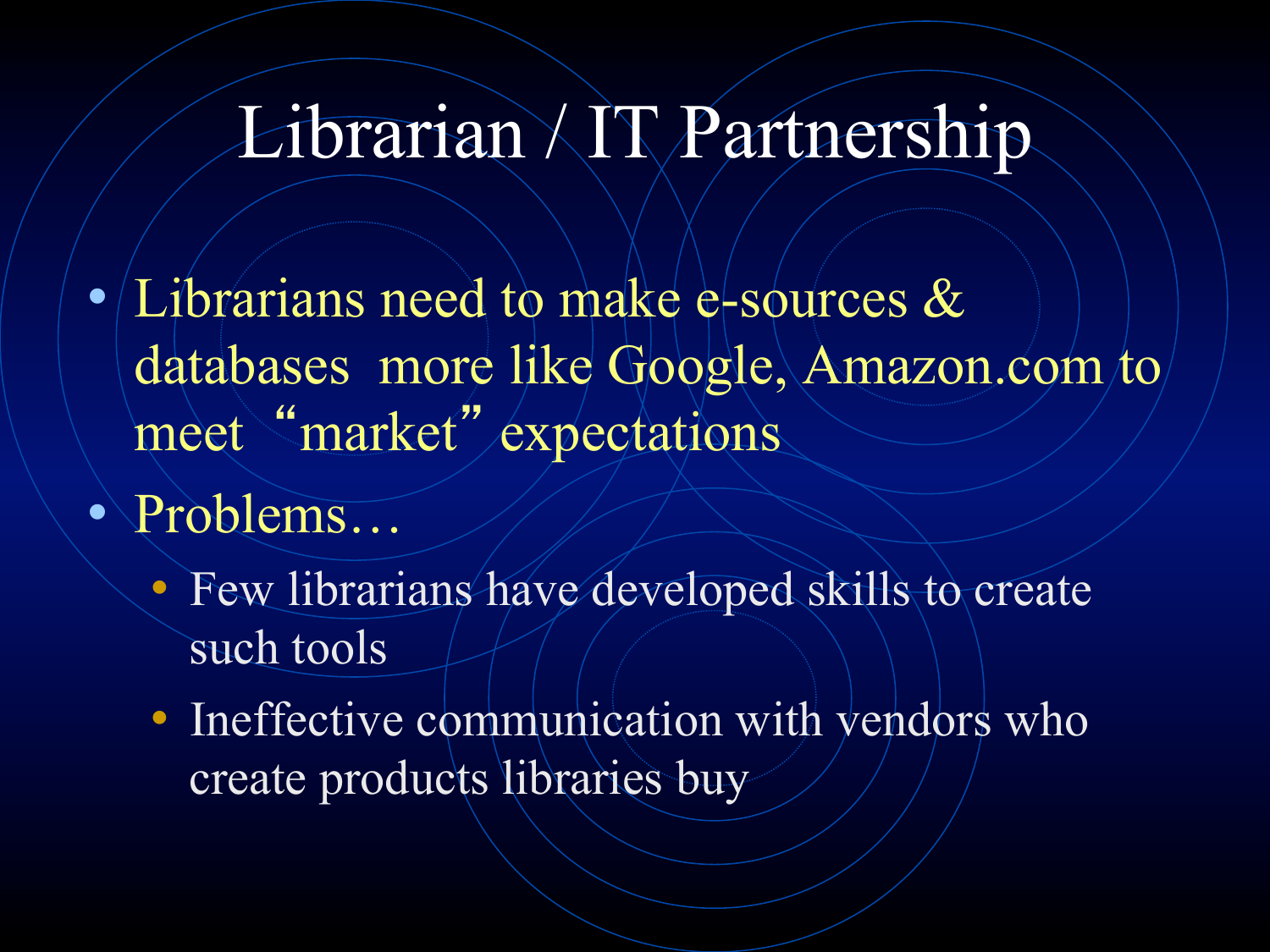### Librarian / IT Partnership

- Librarians need to make e-sources  $\&$ databases more like Google, Amazon.com to meet "market" expectations
- Problems…
	- Few librarians have developed skills to create such tools
	- Ineffective communication with vendors who create products libraries buy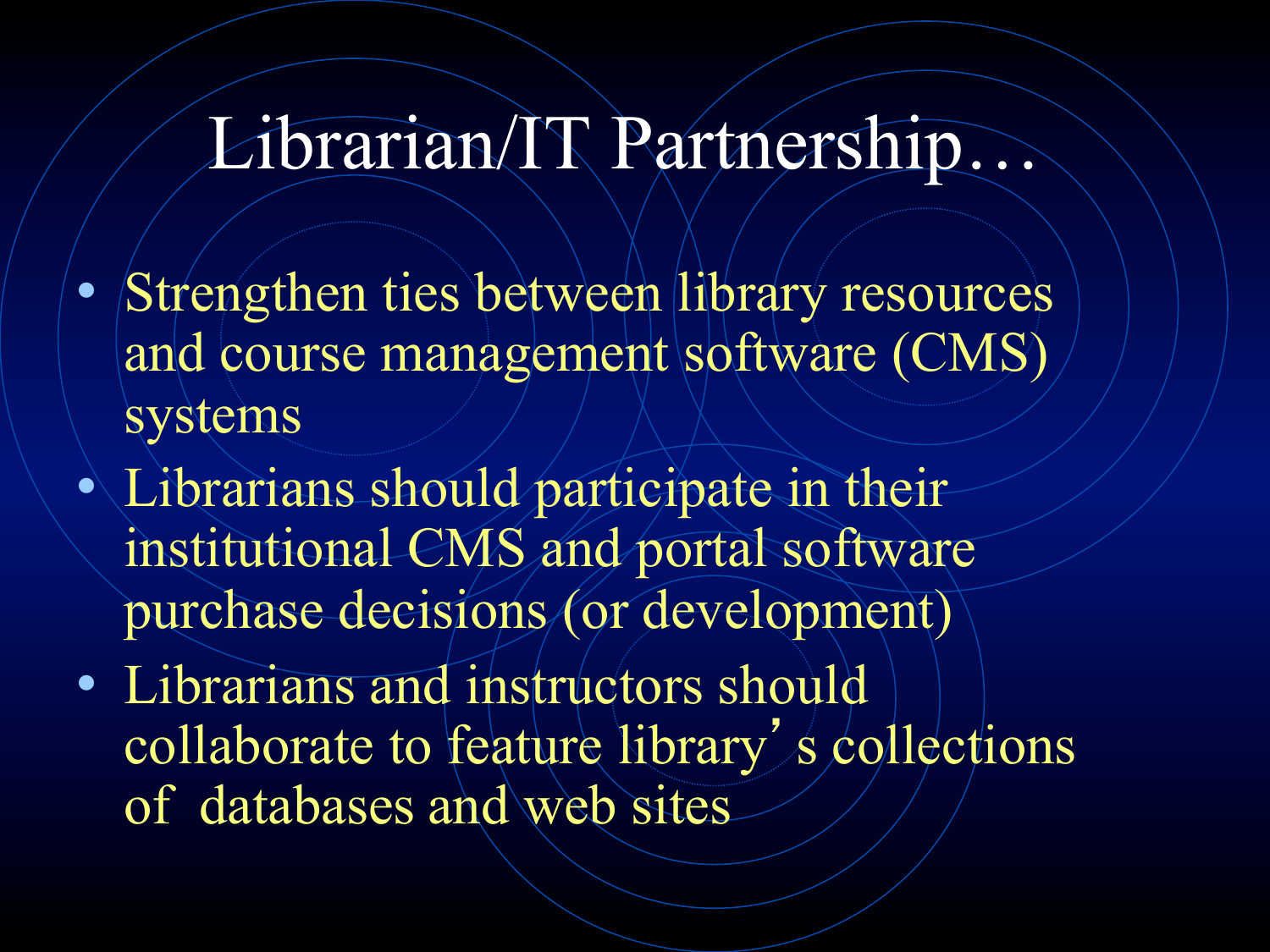#### Librarian/IT Partnership…

- Strengthen ties between library resources and course management software (CMS) systems
- Librarians should participate in their institutional CMS and portal software purchase decisions (or development)
- Librarians and instructors should collaborate to feature library's collections of databases and web sites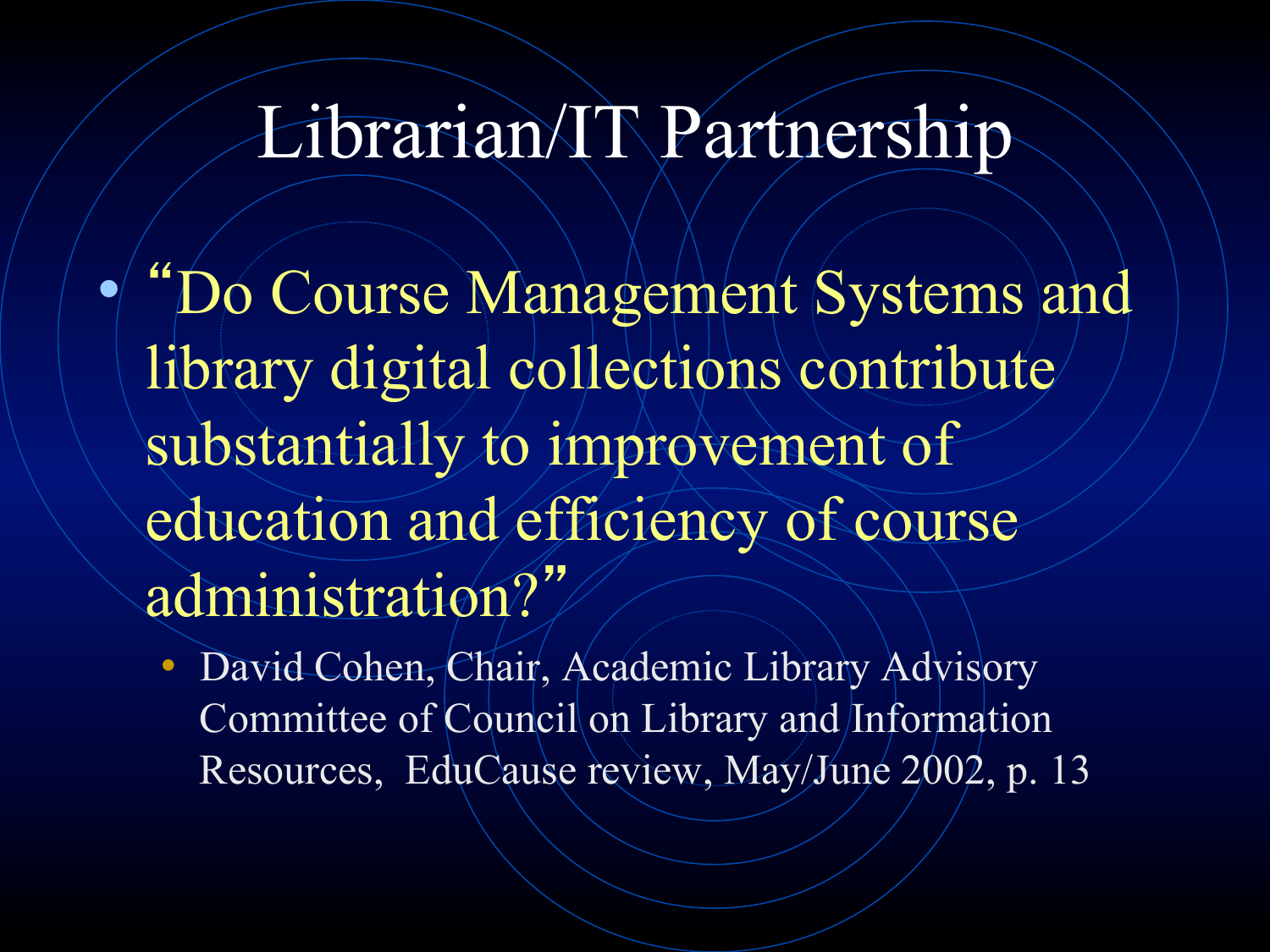### Librarian/IT Partnership

• "Do Course Management Systems and library digital collections contribute substantially to improvement of education and efficiency of course administration?"

• David Cohen, Chair, Academic Library Advisory Committee of Council on Library and Information Resources, EduCause review, May/June 2002, p. 13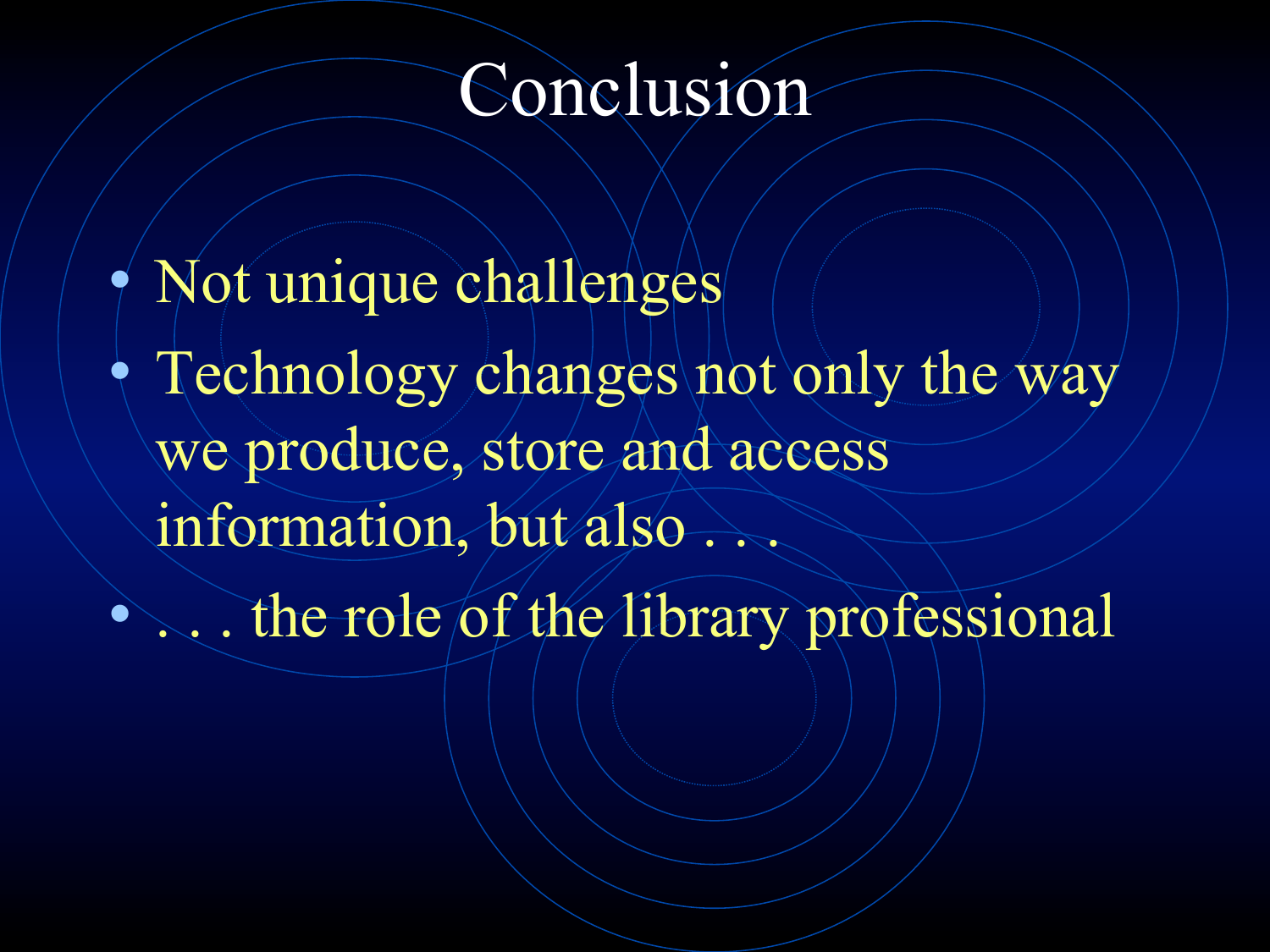#### Conclusion

• Not unique challenges • Technology changes not only the way we produce, store and access information, but also. **1... the role of the library professional**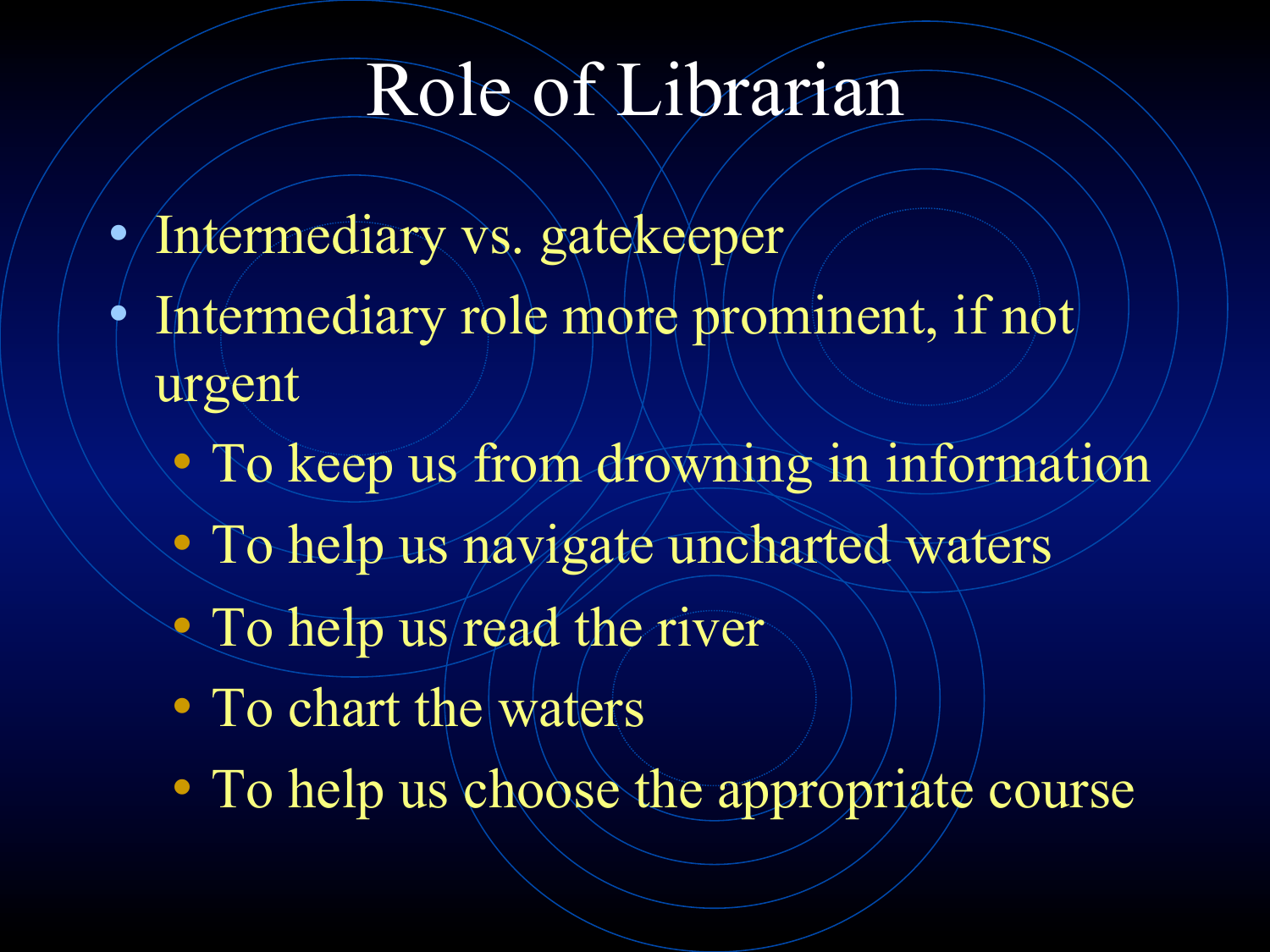### Role of Librarian

- Intermediary vs. gatekeeper
- Intermediary role more prominent, if not urgent
	- To keep us from drowning in information
	- To help us navigate uncharted waters
	- To help us/read the river
	- To chart the waters
	- To help us choose the appropriate course